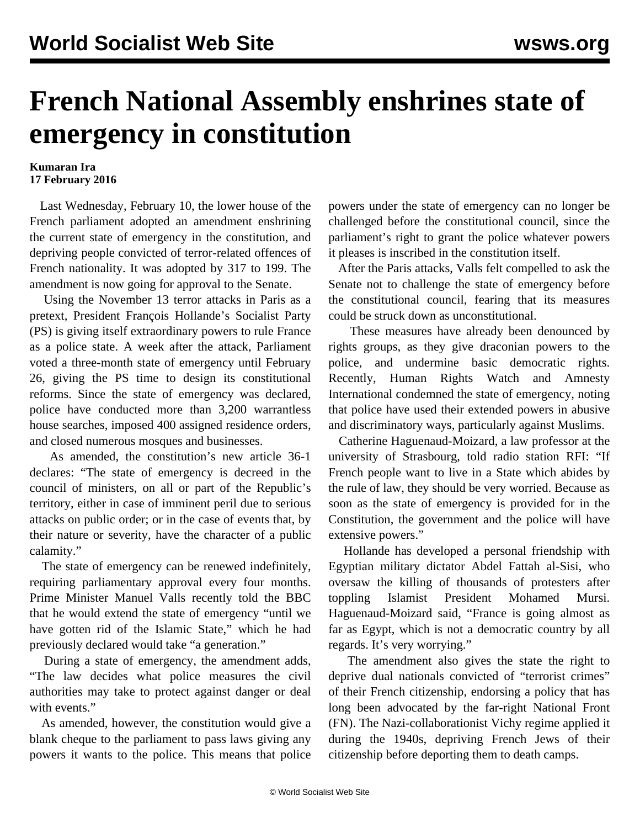## **French National Assembly enshrines state of emergency in constitution**

## **Kumaran Ira 17 February 2016**

 Last Wednesday, February 10, the lower house of the French parliament adopted an amendment enshrining the current state of emergency in the constitution, and depriving people convicted of terror-related offences of French nationality. It was adopted by 317 to 199. The amendment is now going for approval to the Senate.

 Using the November 13 terror attacks in Paris as a pretext, President François Hollande's Socialist Party (PS) is giving itself extraordinary powers to rule France as a police state. A week after the attack, Parliament voted a three-month state of emergency until February 26, giving the PS time to design its constitutional reforms. Since the state of emergency was declared, police have conducted more than 3,200 warrantless house searches, imposed 400 assigned residence orders, and closed numerous mosques and businesses.

 As amended, the constitution's new article 36-1 declares: "The state of emergency is decreed in the council of ministers, on all or part of the Republic's territory, either in case of imminent peril due to serious attacks on public order; or in the case of events that, by their nature or severity, have the character of a public calamity."

 The state of emergency can be renewed indefinitely, requiring parliamentary approval every four months. Prime Minister Manuel Valls recently told the BBC that he would extend the state of emergency "until we have gotten rid of the Islamic State," which he had previously declared would take "a generation."

 During a state of emergency, the amendment adds, "The law decides what police measures the civil authorities may take to protect against danger or deal with events."

 As amended, however, the constitution would give a blank cheque to the parliament to pass laws giving any powers it wants to the police. This means that police powers under the state of emergency can no longer be challenged before the constitutional council, since the parliament's right to grant the police whatever powers it pleases is inscribed in the constitution itself.

 After the Paris attacks, Valls felt compelled to ask the Senate not to challenge the state of emergency before the constitutional council, fearing that its measures could be struck down as unconstitutional.

 These measures have already been denounced by rights groups, as they give draconian powers to the police, and undermine basic democratic rights. Recently, Human Rights Watch and Amnesty International [condemned](/en/articles/2016/02/09/etur-f09.html) the state of emergency, noting that police have used their extended powers in abusive and discriminatory ways, particularly against Muslims.

 Catherine Haguenaud-Moizard, a law professor at the university of Strasbourg, told radio station RFI: "If French people want to live in a State which abides by the rule of law, they should be very worried. Because as soon as the state of emergency is provided for in the Constitution, the government and the police will have extensive powers."

 Hollande has developed a personal friendship with Egyptian military dictator Abdel Fattah al-Sisi, who oversaw the killing of thousands of protesters after toppling Islamist President Mohamed Mursi. Haguenaud-Moizard said, "France is going almost as far as Egypt, which is not a democratic country by all regards. It's very worrying."

 The amendment also gives the state the right to deprive dual nationals convicted of "terrorist crimes" of their French citizenship, endorsing a policy that has long been advocated by the far-right National Front (FN). The Nazi-collaborationist Vichy regime applied it during the 1940s, depriving French Jews of their citizenship before deporting them to death camps.